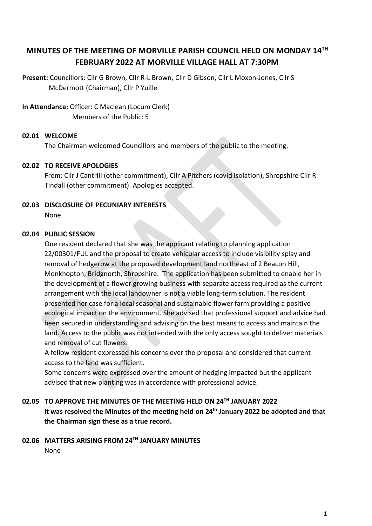# **MINUTES OF THE MEETING OF MORVILLE PARISH COUNCIL HELD ON MONDAY 14TH FEBRUARY 2022 AT MORVILLE VILLAGE HALL AT 7:30PM**

**Present:** Councillors: Cllr G Brown, Cllr R-L Brown, Cllr D Gibson, Cllr L Moxon-Jones, Cllr S McDermott (Chairman), Cllr P Yuille

**In Attendance:** Officer: C Maclean (Locum Clerk) Members of the Public: 5

#### **02.01 WELCOME**

The Chairman welcomed Councillors and members of the public to the meeting.

#### **02.02 TO RECEIVE APOLOGIES**

From: Cllr J Cantrill (other commitment), Cllr A Pitchers (covid isolation), Shropshire Cllr R Tindall (other commitment). Apologies accepted.

#### **02.03 DISCLOSURE OF PECUNIARY INTERESTS**

None

#### **02.04 PUBLIC SESSION**

One resident declared that she was the applicant relating to planning application 22/00301/FUL and the proposal to create vehicular access to include visibility splay and removal of hedgerow at the proposed development land northeast of 2 Beacon Hill, Monkhopton, Bridgnorth, Shropshire. The application has been submitted to enable her in the development of a flower growing business with separate access required as the current arrangement with the local landowner is not a viable long-term solution. The resident presented her case for a local seasonal and sustainable flower farm providing a positive ecological impact on the environment. She advised that professional support and advice had been secured in understanding and advising on the best means to access and maintain the land. Access to the public was not intended with the only access sought to deliver materials and removal of cut flowers.

A fellow resident expressed his concerns over the proposal and considered that current access to the land was sufficient.

Some concerns were expressed over the amount of hedging impacted but the applicant advised that new planting was in accordance with professional advice.

# **02.05 TO APPROVE THE MINUTES OF THE MEETING HELD ON 24TH JANUARY 2022 It was resolved the Minutes of the meeting held on 24th January 2022 be adopted and that the Chairman sign these as a true record.**

## **02.06 MATTERS ARISING FROM 24TH JANUARY MINUTES** None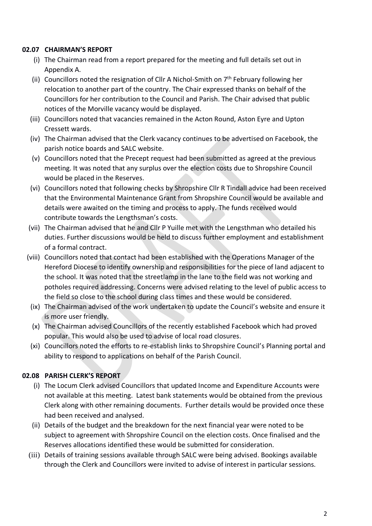### **02.07 CHAIRMAN'S REPORT**

- (i) The Chairman read from a report prepared for the meeting and full details set out in Appendix A.
- (ii) Councillors noted the resignation of Cllr A Nichol-Smith on  $7<sup>th</sup>$  February following her relocation to another part of the country. The Chair expressed thanks on behalf of the Councillors for her contribution to the Council and Parish. The Chair advised that public notices of the Morville vacancy would be displayed.
- (iii) Councillors noted that vacancies remained in the Acton Round, Aston Eyre and Upton Cressett wards.
- (iv) The Chairman advised that the Clerk vacancy continues to be advertised on Facebook, the parish notice boards and SALC website.
- (v) Councillors noted that the Precept request had been submitted as agreed at the previous meeting. It was noted that any surplus over the election costs due to Shropshire Council would be placed in the Reserves.
- (vi) Councillors noted that following checks by Shropshire Cllr R Tindall advice had been received that the Environmental Maintenance Grant from Shropshire Council would be available and details were awaited on the timing and process to apply. The funds received would contribute towards the Lengthsman's costs.
- (vii) The Chairman advised that he and Cllr P Yuille met with the Lengsthman who detailed his duties. Further discussions would be held to discuss further employment and establishment of a formal contract.
- (viii) Councillors noted that contact had been established with the Operations Manager of the Hereford Diocese to identify ownership and responsibilities for the piece of land adjacent to the school. It was noted that the streetlamp in the lane to the field was not working and potholes required addressing. Concerns were advised relating to the level of public access to the field so close to the school during class times and these would be considered.
- (ix) The Chairman advised of the work undertaken to update the Council's website and ensure it is more user friendly.
- (x) The Chairman advised Councillors of the recently established Facebook which had proved popular. This would also be used to advise of local road closures.
- (xi) Councillors noted the efforts to re-establish links to Shropshire Council's Planning portal and ability to respond to applications on behalf of the Parish Council.

# **02.08 PARISH CLERK'S REPORT**

- (i) The Locum Clerk advised Councillors that updated Income and Expenditure Accounts were not available at this meeting. Latest bank statements would be obtained from the previous Clerk along with other remaining documents. Further details would be provided once these had been received and analysed.
- (ii) Details of the budget and the breakdown for the next financial year were noted to be subject to agreement with Shropshire Council on the election costs. Once finalised and the Reserves allocations identified these would be submitted for consideration.
- (iii) Details of training sessions available through SALC were being advised. Bookings available through the Clerk and Councillors were invited to advise of interest in particular sessions.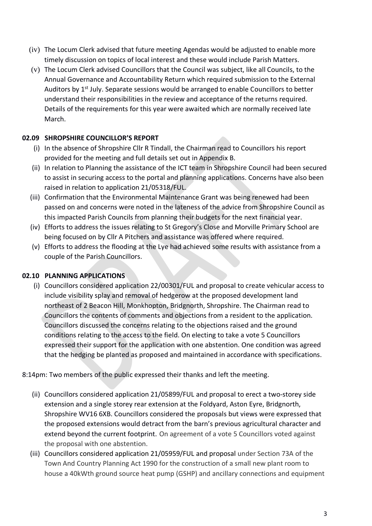- (iv) The Locum Clerk advised that future meeting Agendas would be adjusted to enable more timely discussion on topics of local interest and these would include Parish Matters.
- (v) The Locum Clerk advised Councillors that the Council was subject, like all Councils, to the Annual Governance and Accountability Return which required submission to the External Auditors by  $1<sup>st</sup>$  July. Separate sessions would be arranged to enable Councillors to better understand their responsibilities in the review and acceptance of the returns required. Details of the requirements for this year were awaited which are normally received late March.

# **02.09 SHROPSHIRE COUNCILLOR'S REPORT**

- (i) In the absence of Shropshire Cllr R Tindall, the Chairman read to Councillors his report provided for the meeting and full details set out in Appendix B.
- (ii) In relation to Planning the assistance of the ICT team in Shropshire Council had been secured to assist in securing access to the portal and planning applications. Concerns have also been raised in relation to application 21/05318/FUL.
- (iii) Confirmation that the Environmental Maintenance Grant was being renewed had been passed on and concerns were noted in the lateness of the advice from Shropshire Council as this impacted Parish Councils from planning their budgets for the next financial year.
- (iv) Efforts to address the issues relating to St Gregory's Close and Morville Primary School are being focused on by Cllr A Pitchers and assistance was offered where required.
- (v) Efforts to address the flooding at the Lye had achieved some results with assistance from a couple of the Parish Councillors.

# **02.10 PLANNING APPLICATIONS**

(i) Councillors considered application 22/00301/FUL and proposal to create vehicular access to include visibility splay and removal of hedgerow at the proposed development land northeast of 2 Beacon Hill, Monkhopton, Bridgnorth, Shropshire. The Chairman read to Councillors the contents of comments and objections from a resident to the application. Councillors discussed the concerns relating to the objections raised and the ground conditions relating to the access to the field. On electing to take a vote 5 Councillors expressed their support for the application with one abstention. One condition was agreed that the hedging be planted as proposed and maintained in accordance with specifications.

8:14pm: Two members of the public expressed their thanks and left the meeting.

- (ii) Councillors considered application 21/05899/FUL and proposal to erect a two-storey side extension and a single storey rear extension at the Foldyard, Aston Eyre, Bridgnorth, Shropshire WV16 6XB. Councillors considered the proposals but views were expressed that the proposed extensions would detract from the barn's previous agricultural character and extend beyond the current footprint. On agreement of a vote 5 Councillors voted against the proposal with one abstention.
- (iii) Councillors considered application 21/05959/FUL and proposal under Section 73A of the Town And Country Planning Act 1990 for the construction of a small new plant room to house a 40kWth ground source heat pump (GSHP) and ancillary connections and equipment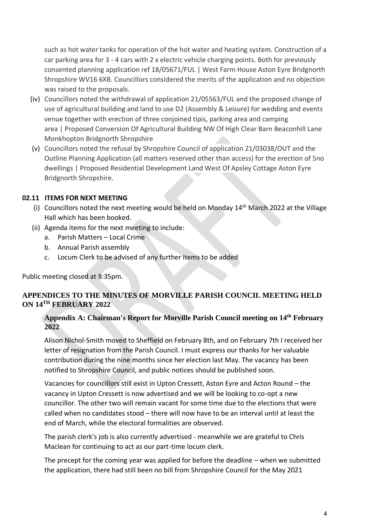such as hot water tanks for operation of the hot water and heating system. Construction of a car parking area for 3 - 4 cars with 2 x electric vehicle charging points. Both for previously consented planning application ref 18/05671/FUL | West Farm House Aston Eyre Bridgnorth Shropshire WV16 6XB. Councillors considered the merits of the application and no objection was raised to the proposals.

- (iv) Councillors noted the withdrawal of application 21/05563/FUL and the proposed change of use of agricultural building and land to use D2 (Assembly & Leisure) for wedding and events venue together with erection of three conjoined tipis, parking area and camping area | Proposed Conversion Of Agricultural Building NW Of High Clear Barn Beaconhill Lane Monkhopton Bridgnorth Shropshire
- (v) Councillors noted the refusal by Shropshire Council of application 21/03038/OUT and the Outline Planning Application (all matters reserved other than access) for the erection of 5no dwellings | Proposed Residential Development Land West Of Apsley Cottage Aston Eyre Bridgnorth Shropshire.

### **02.11 ITEMS FOR NEXT MEETING**

- (i) Councillors noted the next meeting would be held on Monday  $14<sup>th</sup>$  March 2022 at the Village Hall which has been booked.
- (ii) Agenda items for the next meeting to include:
	- a. Parish Matters Local Crime
	- b. Annual Parish assembly
	- c. Locum Clerk to be advised of any further items to be added

Public meeting closed at 8:35pm.

# **APPENDICES TO THE MINUTES OF MORVILLE PARISH COUNCIL MEETING HELD ON 14TH FEBRUARY 2022**

### **Appendix A: Chairman's Report for Morville Parish Council meeting on 14th February 2022**

Alison Nichol-Smith moved to Sheffield on February 8th, and on February 7th I received her letter of resignation from the Parish Council. I must express our thanks for her valuable contribution during the nine months since her election last May. The vacancy has been notified to Shropshire Council, and public notices should be published soon.

Vacancies for councillors still exist in Upton Cressett, Aston Eyre and Acton Round – the vacancy in Upton Cressett is now advertised and we will be looking to co-opt a new councillor. The other two will remain vacant for some time due to the elections that were called when no candidates stood – there will now have to be an interval until at least the end of March, while the electoral formalities are observed.

The parish clerk's job is also currently advertised - meanwhile we are grateful to Chris Maclean for continuing to act as our part-time locum clerk.

The precept for the coming year was applied for before the deadline – when we submitted the application, there had still been no bill from Shropshire Council for the May 2021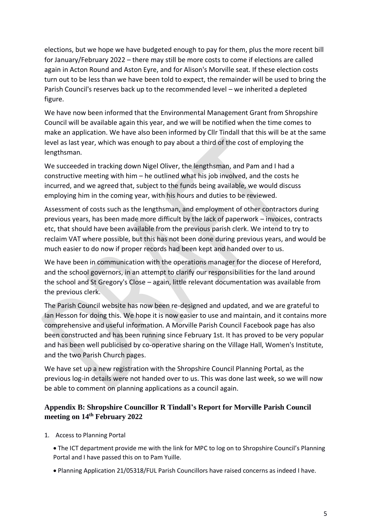elections, but we hope we have budgeted enough to pay for them, plus the more recent bill for January/February 2022 – there may still be more costs to come if elections are called again in Acton Round and Aston Eyre, and for Alison's Morville seat. If these election costs turn out to be less than we have been told to expect, the remainder will be used to bring the Parish Council's reserves back up to the recommended level – we inherited a depleted figure.

We have now been informed that the Environmental Management Grant from Shropshire Council will be available again this year, and we will be notified when the time comes to make an application. We have also been informed by Cllr Tindall that this will be at the same level as last year, which was enough to pay about a third of the cost of employing the lengthsman.

We succeeded in tracking down Nigel Oliver, the lengthsman, and Pam and I had a constructive meeting with him – he outlined what his job involved, and the costs he incurred, and we agreed that, subject to the funds being available, we would discuss employing him in the coming year, with his hours and duties to be reviewed.

Assessment of costs such as the lengthsman, and employment of other contractors during previous years, has been made more difficult by the lack of paperwork – invoices, contracts etc, that should have been available from the previous parish clerk. We intend to try to reclaim VAT where possible, but this has not been done during previous years, and would be much easier to do now if proper records had been kept and handed over to us.

We have been in communication with the operations manager for the diocese of Hereford, and the school governors, in an attempt to clarify our responsibilities for the land around the school and St Gregory's Close – again, little relevant documentation was available from the previous clerk.

The Parish Council website has now been re-designed and updated, and we are grateful to Ian Hesson for doing this. We hope it is now easier to use and maintain, and it contains more comprehensive and useful information. A Morville Parish Council Facebook page has also been constructed and has been running since February 1st. It has proved to be very popular and has been well publicised by co-operative sharing on the Village Hall, Women's Institute, and the two Parish Church pages.

We have set up a new registration with the Shropshire Council Planning Portal, as the previous log-in details were not handed over to us. This was done last week, so we will now be able to comment on planning applications as a council again.

### **Appendix B: Shropshire Councillor R Tindall's Report for Morville Parish Council meeting on 14th February 2022**

- 1. Access to Planning Portal
	- The ICT department provide me with the link for MPC to log on to Shropshire Council's Planning Portal and I have passed this on to Pam Yuille.
	- Planning Application 21/05318/FUL Parish Councillors have raised concerns as indeed I have.